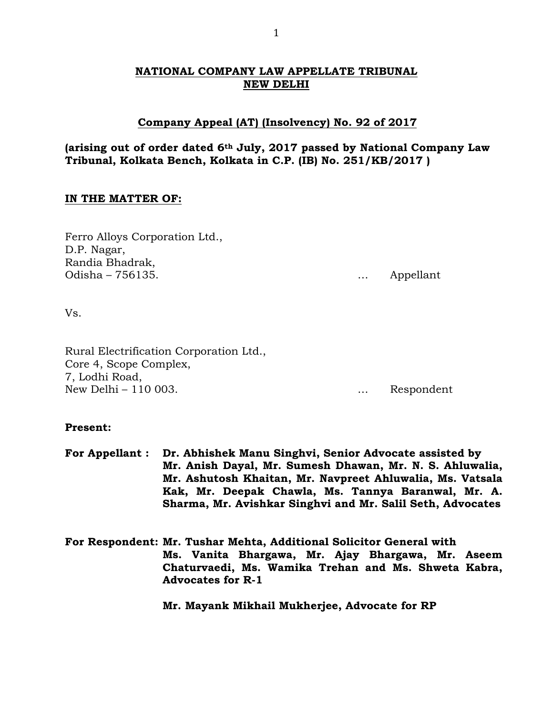# **NATIONAL COMPANY LAW APPELLATE TRIBUNAL NEW DELHI**

# **Company Appeal (AT) (Insolvency) No. 92 of 2017**

# **(arising out of order dated 6th July, 2017 passed by National Company Law Tribunal, Kolkata Bench, Kolkata in C.P. (IB) No. 251/KB/2017 )**

# **IN THE MATTER OF:**

Ferro Alloys Corporation Ltd., D.P. Nagar, Randia Bhadrak, Odisha – 756135. … Appellant

Vs.

Rural Electrification Corporation Ltd., Core 4, Scope Complex, 7, Lodhi Road, New Delhi – 110 003.

# **Present:**

- **For Appellant : Dr. Abhishek Manu Singhvi, Senior Advocate assisted by Mr. Anish Dayal, Mr. Sumesh Dhawan, Mr. N. S. Ahluwalia, Mr. Ashutosh Khaitan, Mr. Navpreet Ahluwalia, Ms. Vatsala Kak, Mr. Deepak Chawla, Ms. Tannya Baranwal, Mr. A. Sharma, Mr. Avishkar Singhvi and Mr. Salil Seth, Advocates**
- **For Respondent: Mr. Tushar Mehta, Additional Solicitor General with Ms. Vanita Bhargawa, Mr. Ajay Bhargawa, Mr. Aseem Chaturvaedi, Ms. Wamika Trehan and Ms. Shweta Kabra, Advocates for R-1**

**Mr. Mayank Mikhail Mukherjee, Advocate for RP**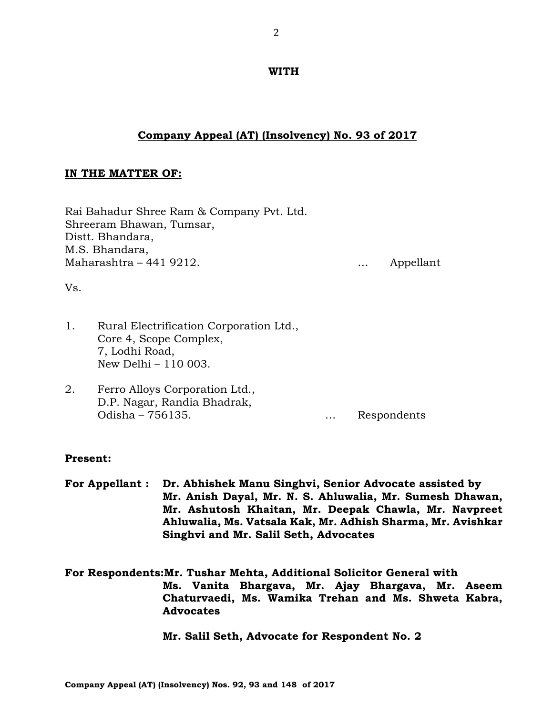## **WITH**

# **Company Appeal (AT) (Insolvency) No. 93 of 2017**

## **IN THE MATTER OF:**

Rai Bahadur Shree Ram & Company Pvt. Ltd. Shreeram Bhawan, Tumsar, Distt. Bhandara, M.S. Bhandara, Maharashtra – 441 9212. … Appellant

Vs.

- 1. Rural Electrification Corporation Ltd., Core 4, Scope Complex, 7, Lodhi Road, New Delhi – 110 003.
- 2. Ferro Alloys Corporation Ltd., D.P. Nagar, Randia Bhadrak, Odisha – 756135. … Respondents

## **Present:**

**For Appellant : Dr. Abhishek Manu Singhvi, Senior Advocate assisted by Mr. Anish Dayal, Mr. N. S. Ahluwalia, Mr. Sumesh Dhawan, Mr. Ashutosh Khaitan, Mr. Deepak Chawla, Mr. Navpreet Ahluwalia, Ms. Vatsala Kak, Mr. Adhish Sharma, Mr. Avishkar Singhvi and Mr. Salil Seth, Advocates** 

**For Respondents:Mr. Tushar Mehta, Additional Solicitor General with Ms. Vanita Bhargava, Mr. Ajay Bhargava, Mr. Aseem Chaturvaedi, Ms. Wamika Trehan and Ms. Shweta Kabra, Advocates**

**Mr. Salil Seth, Advocate for Respondent No. 2**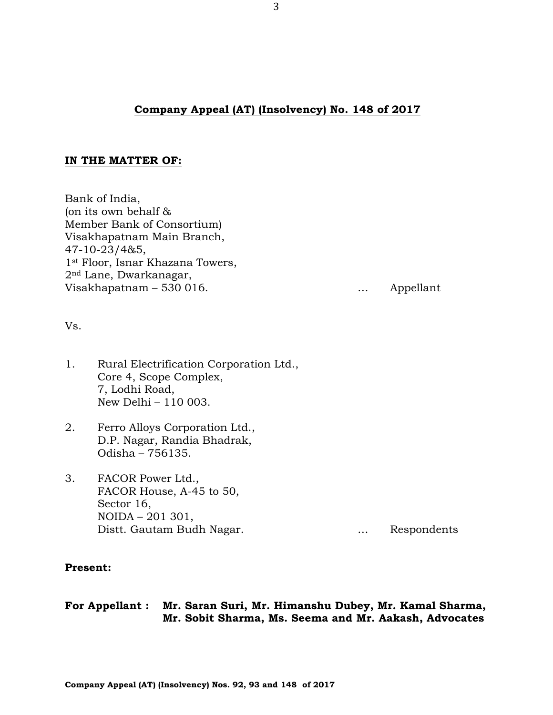# **Company Appeal (AT) (Insolvency) No. 148 of 2017**

## **IN THE MATTER OF:**

Bank of India, (on its own behalf & Member Bank of Consortium) Visakhapatnam Main Branch, 47-10-23/4&5, 1st Floor, Isnar Khazana Towers, 2nd Lane, Dwarkanagar, Visakhapatnam – 530 016. … Appellant

Vs.

- 1. Rural Electrification Corporation Ltd., Core 4, Scope Complex, 7, Lodhi Road, New Delhi – 110 003.
- 2. Ferro Alloys Corporation Ltd., D.P. Nagar, Randia Bhadrak, Odisha – 756135.
- 3. FACOR Power Ltd., FACOR House, A-45 to 50, Sector 16, NOIDA – 201 301, Distt. Gautam Budh Nagar. **Example 19 and September 10** metal control of Respondents

## **Present:**

**For Appellant : Mr. Saran Suri, Mr. Himanshu Dubey, Mr. Kamal Sharma, Mr. Sobit Sharma, Ms. Seema and Mr. Aakash, Advocates**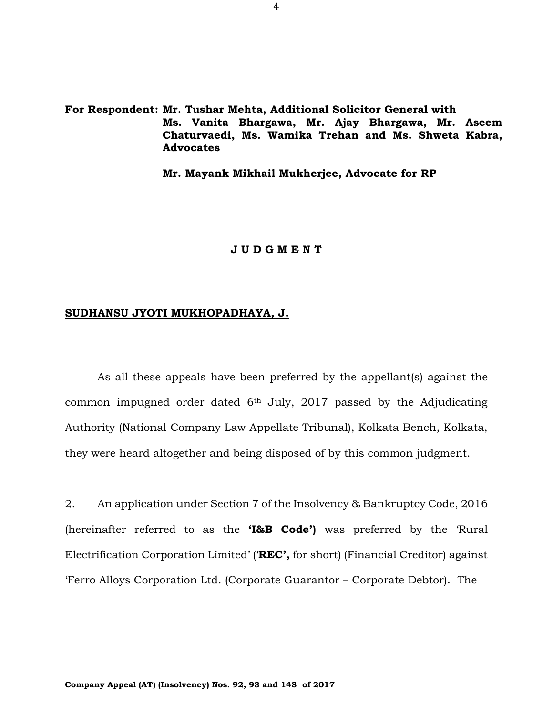**For Respondent: Mr. Tushar Mehta, Additional Solicitor General with Ms. Vanita Bhargawa, Mr. Ajay Bhargawa, Mr. Aseem Chaturvaedi, Ms. Wamika Trehan and Ms. Shweta Kabra, Advocates**

**Mr. Mayank Mikhail Mukherjee, Advocate for RP**

#### **J U D G M E N T**

#### **SUDHANSU JYOTI MUKHOPADHAYA, J.**

As all these appeals have been preferred by the appellant(s) against the common impugned order dated 6th July, 2017 passed by the Adjudicating Authority (National Company Law Appellate Tribunal), Kolkata Bench, Kolkata, they were heard altogether and being disposed of by this common judgment.

2. An application under Section 7 of the Insolvency & Bankruptcy Code, 2016 (hereinafter referred to as the **'I&B Code')** was preferred by the 'Rural Electrification Corporation Limited' ('**REC',** for short) (Financial Creditor) against 'Ferro Alloys Corporation Ltd. (Corporate Guarantor – Corporate Debtor). The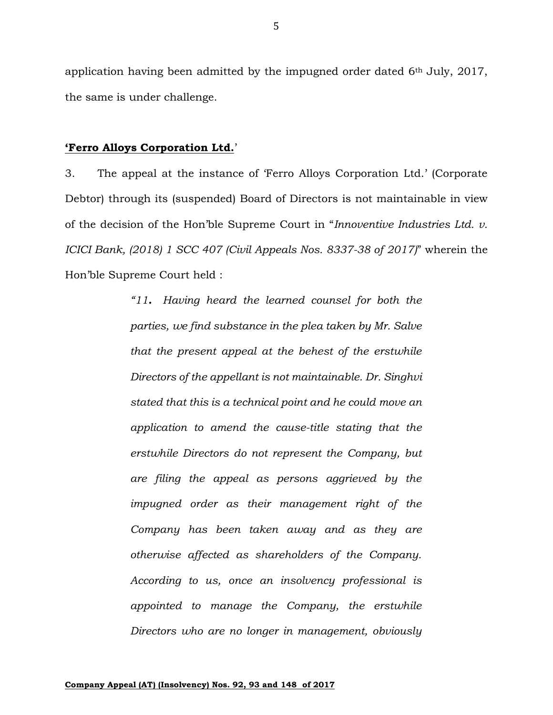application having been admitted by the impugned order dated 6th July, 2017, the same is under challenge.

#### **'Ferro Alloys Corporation Ltd.**'

3. The appeal at the instance of 'Ferro Alloys Corporation Ltd.' (Corporate Debtor) through its (suspended) Board of Directors is not maintainable in view of the decision of the Hon'ble Supreme Court in "*Innoventive Industries Ltd. v. ICICI Bank, (2018) 1 SCC 407 (Civil Appeals Nos. 8337-38 of 2017)*" wherein the Hon'ble Supreme Court held :

> *"11. Having heard the learned counsel for both the parties, we find substance in the plea taken by Mr. Salve that the present appeal at the behest of the erstwhile Directors of the appellant is not maintainable. Dr. Singhvi stated that this is a technical point and he could move an application to amend the cause-title stating that the erstwhile Directors do not represent the Company, but are filing the appeal as persons aggrieved by the impugned order as their management right of the Company has been taken away and as they are otherwise affected as shareholders of the Company. According to us, once an insolvency professional is appointed to manage the Company, the erstwhile Directors who are no longer in management, obviously*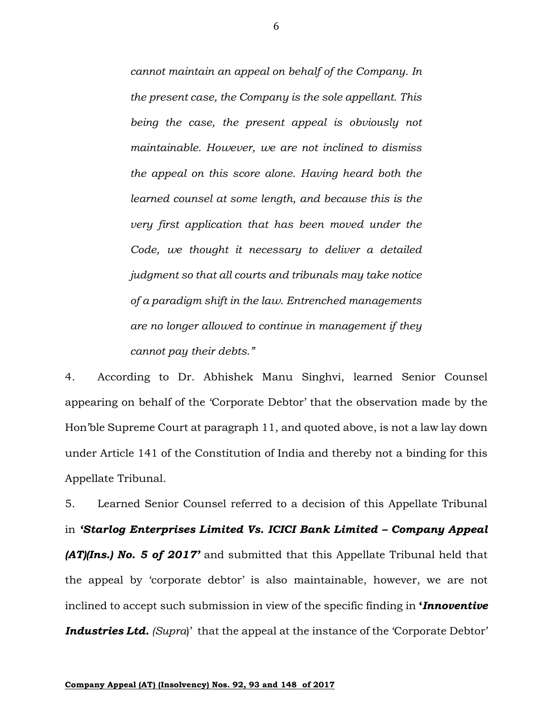*cannot maintain an appeal on behalf of the Company. In the present case, the Company is the sole appellant. This being the case, the present appeal is obviously not maintainable. However, we are not inclined to dismiss the appeal on this score alone. Having heard both the learned counsel at some length, and because this is the very first application that has been moved under the Code, we thought it necessary to deliver a detailed judgment so that all courts and tribunals may take notice of a paradigm shift in the law. Entrenched managements are no longer allowed to continue in management if they cannot pay their debts."*

4. According to Dr. Abhishek Manu Singhvi, learned Senior Counsel appearing on behalf of the 'Corporate Debtor' that the observation made by the Hon'ble Supreme Court at paragraph 11, and quoted above, is not a law lay down under Article 141 of the Constitution of India and thereby not a binding for this Appellate Tribunal.

5. Learned Senior Counsel referred to a decision of this Appellate Tribunal in *'Starlog Enterprises Limited Vs. ICICI Bank Limited – Company Appeal (AT)(Ins.) No. 5 of 2017'* and submitted that this Appellate Tribunal held that the appeal by 'corporate debtor' is also maintainable, however, we are not inclined to accept such submission in view of the specific finding in **'***Innoventive Industries Ltd. (Supra*)' that the appeal at the instance of the 'Corporate Debtor'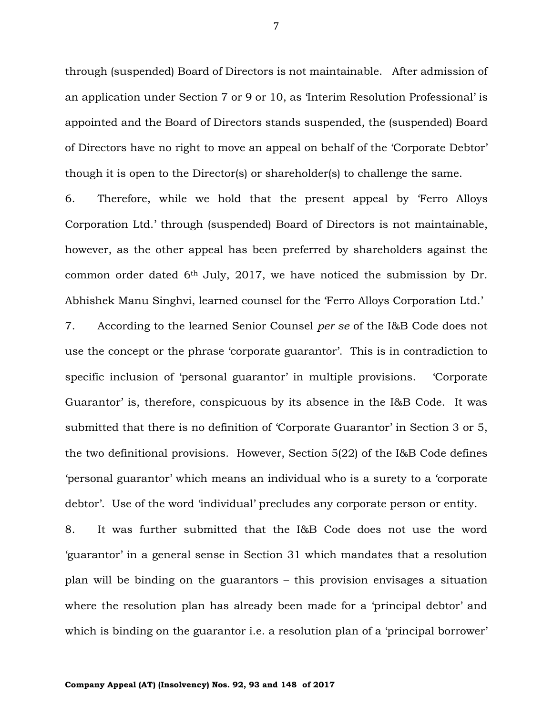through (suspended) Board of Directors is not maintainable. After admission of an application under Section 7 or 9 or 10, as 'Interim Resolution Professional' is appointed and the Board of Directors stands suspended, the (suspended) Board of Directors have no right to move an appeal on behalf of the 'Corporate Debtor' though it is open to the Director(s) or shareholder(s) to challenge the same.

6. Therefore, while we hold that the present appeal by 'Ferro Alloys Corporation Ltd.' through (suspended) Board of Directors is not maintainable, however, as the other appeal has been preferred by shareholders against the common order dated 6th July, 2017, we have noticed the submission by Dr. Abhishek Manu Singhvi, learned counsel for the 'Ferro Alloys Corporation Ltd.'

7. According to the learned Senior Counsel *per se* of the I&B Code does not use the concept or the phrase 'corporate guarantor'. This is in contradiction to specific inclusion of 'personal guarantor' in multiple provisions. 'Corporate Guarantor' is, therefore, conspicuous by its absence in the I&B Code. It was submitted that there is no definition of 'Corporate Guarantor' in Section 3 or 5, the two definitional provisions. However, Section 5(22) of the I&B Code defines 'personal guarantor' which means an individual who is a surety to a 'corporate debtor'. Use of the word 'individual' precludes any corporate person or entity.

8. It was further submitted that the I&B Code does not use the word 'guarantor' in a general sense in Section 31 which mandates that a resolution plan will be binding on the guarantors – this provision envisages a situation where the resolution plan has already been made for a 'principal debtor' and which is binding on the guarantor i.e. a resolution plan of a 'principal borrower'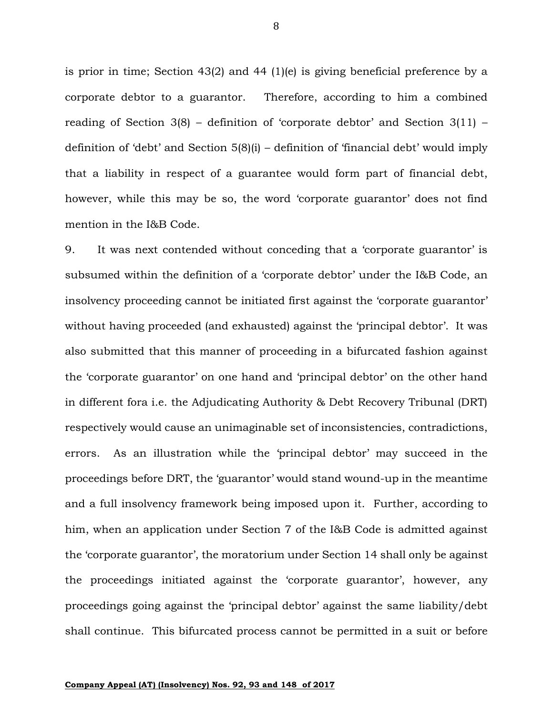is prior in time; Section 43(2) and 44 (1)(e) is giving beneficial preference by a corporate debtor to a guarantor. Therefore, according to him a combined reading of Section 3(8) – definition of 'corporate debtor' and Section 3(11) – definition of 'debt' and Section 5(8)(i) – definition of 'financial debt' would imply that a liability in respect of a guarantee would form part of financial debt, however, while this may be so, the word 'corporate guarantor' does not find mention in the I&B Code.

9. It was next contended without conceding that a 'corporate guarantor' is subsumed within the definition of a 'corporate debtor' under the I&B Code, an insolvency proceeding cannot be initiated first against the 'corporate guarantor' without having proceeded (and exhausted) against the 'principal debtor'. It was also submitted that this manner of proceeding in a bifurcated fashion against the 'corporate guarantor' on one hand and 'principal debtor' on the other hand in different fora i.e. the Adjudicating Authority & Debt Recovery Tribunal (DRT) respectively would cause an unimaginable set of inconsistencies, contradictions, errors. As an illustration while the 'principal debtor' may succeed in the proceedings before DRT, the 'guarantor' would stand wound-up in the meantime and a full insolvency framework being imposed upon it. Further, according to him, when an application under Section 7 of the I&B Code is admitted against the 'corporate guarantor', the moratorium under Section 14 shall only be against the proceedings initiated against the 'corporate guarantor', however, any proceedings going against the 'principal debtor' against the same liability/debt shall continue. This bifurcated process cannot be permitted in a suit or before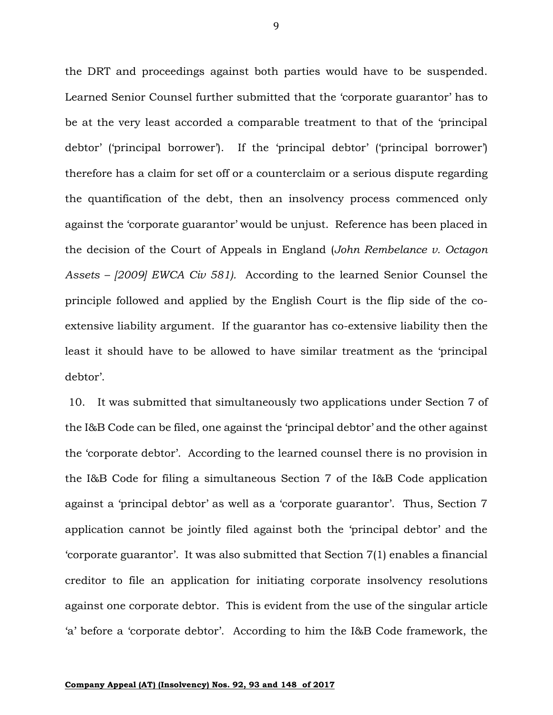the DRT and proceedings against both parties would have to be suspended. Learned Senior Counsel further submitted that the 'corporate guarantor' has to be at the very least accorded a comparable treatment to that of the 'principal debtor' ('principal borrower'). If the 'principal debtor' ('principal borrower') therefore has a claim for set off or a counterclaim or a serious dispute regarding the quantification of the debt, then an insolvency process commenced only against the 'corporate guarantor' would be unjust. Reference has been placed in the decision of the Court of Appeals in England (*John Rembelance v. Octagon Assets – [2009] EWCA Civ 581).* According to the learned Senior Counsel the principle followed and applied by the English Court is the flip side of the coextensive liability argument. If the guarantor has co-extensive liability then the least it should have to be allowed to have similar treatment as the 'principal debtor'.

10. It was submitted that simultaneously two applications under Section 7 of the I&B Code can be filed, one against the 'principal debtor' and the other against the 'corporate debtor'. According to the learned counsel there is no provision in the I&B Code for filing a simultaneous Section 7 of the I&B Code application against a 'principal debtor' as well as a 'corporate guarantor'. Thus, Section 7 application cannot be jointly filed against both the 'principal debtor' and the 'corporate guarantor'. It was also submitted that Section 7(1) enables a financial creditor to file an application for initiating corporate insolvency resolutions against one corporate debtor. This is evident from the use of the singular article 'a' before a 'corporate debtor'. According to him the I&B Code framework, the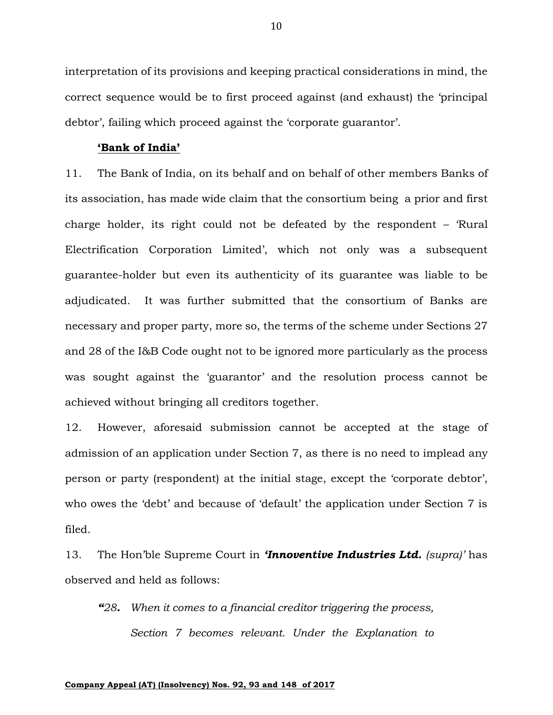interpretation of its provisions and keeping practical considerations in mind, the correct sequence would be to first proceed against (and exhaust) the 'principal debtor', failing which proceed against the 'corporate guarantor'.

#### **'Bank of India'**

11. The Bank of India, on its behalf and on behalf of other members Banks of its association, has made wide claim that the consortium being a prior and first charge holder, its right could not be defeated by the respondent – 'Rural Electrification Corporation Limited', which not only was a subsequent guarantee-holder but even its authenticity of its guarantee was liable to be adjudicated. It was further submitted that the consortium of Banks are necessary and proper party, more so, the terms of the scheme under Sections 27 and 28 of the I&B Code ought not to be ignored more particularly as the process was sought against the 'guarantor' and the resolution process cannot be achieved without bringing all creditors together.

12. However, aforesaid submission cannot be accepted at the stage of admission of an application under Section 7, as there is no need to implead any person or party (respondent) at the initial stage, except the 'corporate debtor', who owes the 'debt' and because of 'default' the application under Section 7 is filed.

13. The Hon'ble Supreme Court in *'Innoventive Industries Ltd. (supra)'* has observed and held as follows:

*"28. When it comes to a financial creditor triggering the process, Section 7 becomes relevant. Under the Explanation to* 

#### **Company Appeal (AT) (Insolvency) Nos. 92, 93 and 148 of 2017**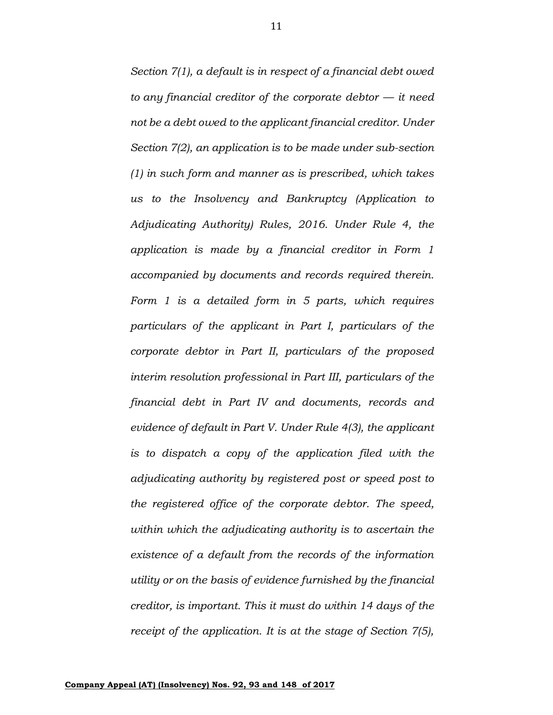*Section 7(1), a default is in respect of a financial debt owed to any financial creditor of the corporate debtor — it need not be a debt owed to the applicant financial creditor. Under Section 7(2), an application is to be made under sub-section (1) in such form and manner as is prescribed, which takes us to the Insolvency and Bankruptcy (Application to Adjudicating Authority) Rules, 2016. Under Rule 4, the application is made by a financial creditor in Form 1 accompanied by documents and records required therein. Form 1 is a detailed form in 5 parts, which requires particulars of the applicant in Part I, particulars of the corporate debtor in Part II, particulars of the proposed interim resolution professional in Part III, particulars of the financial debt in Part IV and documents, records and evidence of default in Part V. Under Rule 4(3), the applicant is to dispatch a copy of the application filed with the adjudicating authority by registered post or speed post to the registered office of the corporate debtor. The speed, within which the adjudicating authority is to ascertain the existence of a default from the records of the information utility or on the basis of evidence furnished by the financial creditor, is important. This it must do within 14 days of the receipt of the application. It is at the stage of Section 7(5),*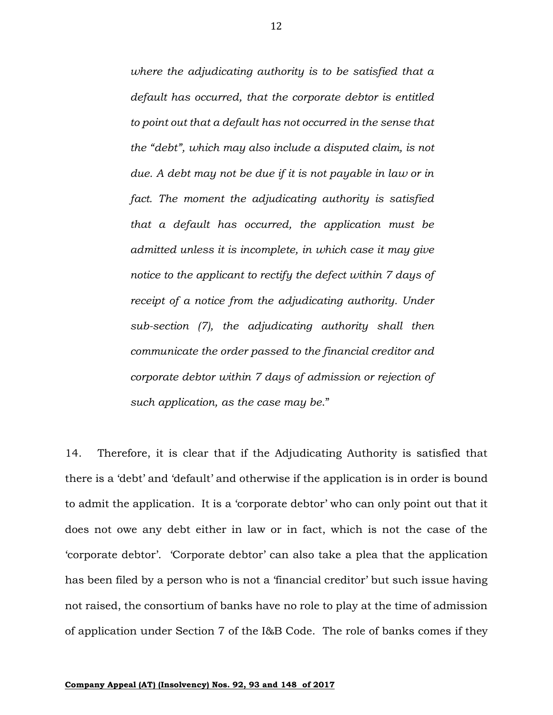*where the adjudicating authority is to be satisfied that a default has occurred, that the corporate debtor is entitled to point out that a default has not occurred in the sense that the "debt", which may also include a disputed claim, is not due. A debt may not be due if it is not payable in law or in fact. The moment the adjudicating authority is satisfied that a default has occurred, the application must be admitted unless it is incomplete, in which case it may give notice to the applicant to rectify the defect within 7 days of receipt of a notice from the adjudicating authority. Under sub-section (7), the adjudicating authority shall then communicate the order passed to the financial creditor and corporate debtor within 7 days of admission or rejection of such application, as the case may be*."

14. Therefore, it is clear that if the Adjudicating Authority is satisfied that there is a 'debt' and 'default' and otherwise if the application is in order is bound to admit the application. It is a 'corporate debtor' who can only point out that it does not owe any debt either in law or in fact, which is not the case of the 'corporate debtor'. 'Corporate debtor' can also take a plea that the application has been filed by a person who is not a 'financial creditor' but such issue having not raised, the consortium of banks have no role to play at the time of admission of application under Section 7 of the I&B Code. The role of banks comes if they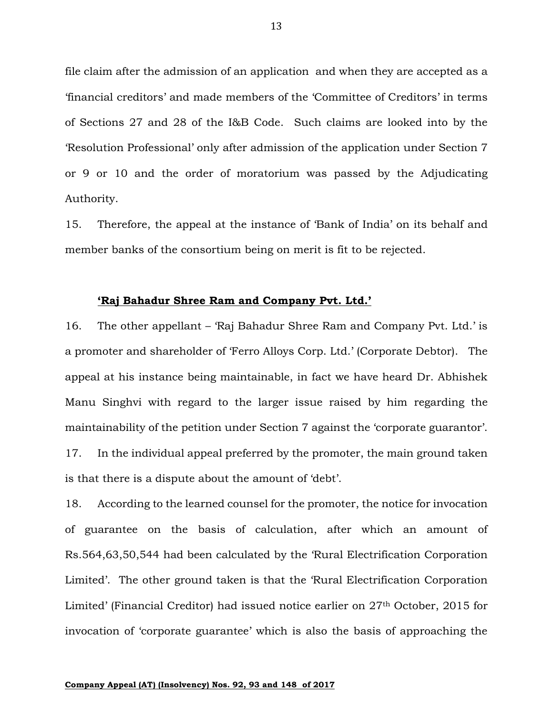file claim after the admission of an application and when they are accepted as a 'financial creditors' and made members of the 'Committee of Creditors' in terms of Sections 27 and 28 of the I&B Code. Such claims are looked into by the 'Resolution Professional' only after admission of the application under Section 7 or 9 or 10 and the order of moratorium was passed by the Adjudicating Authority.

15. Therefore, the appeal at the instance of 'Bank of India' on its behalf and member banks of the consortium being on merit is fit to be rejected.

#### **'Raj Bahadur Shree Ram and Company Pvt. Ltd.'**

16. The other appellant – 'Raj Bahadur Shree Ram and Company Pvt. Ltd.' is a promoter and shareholder of 'Ferro Alloys Corp. Ltd.' (Corporate Debtor). The appeal at his instance being maintainable, in fact we have heard Dr. Abhishek Manu Singhvi with regard to the larger issue raised by him regarding the maintainability of the petition under Section 7 against the 'corporate guarantor'. 17. In the individual appeal preferred by the promoter, the main ground taken is that there is a dispute about the amount of 'debt'.

18. According to the learned counsel for the promoter, the notice for invocation of guarantee on the basis of calculation, after which an amount of Rs.564,63,50,544 had been calculated by the 'Rural Electrification Corporation Limited'. The other ground taken is that the 'Rural Electrification Corporation Limited' (Financial Creditor) had issued notice earlier on 27<sup>th</sup> October, 2015 for invocation of 'corporate guarantee' which is also the basis of approaching the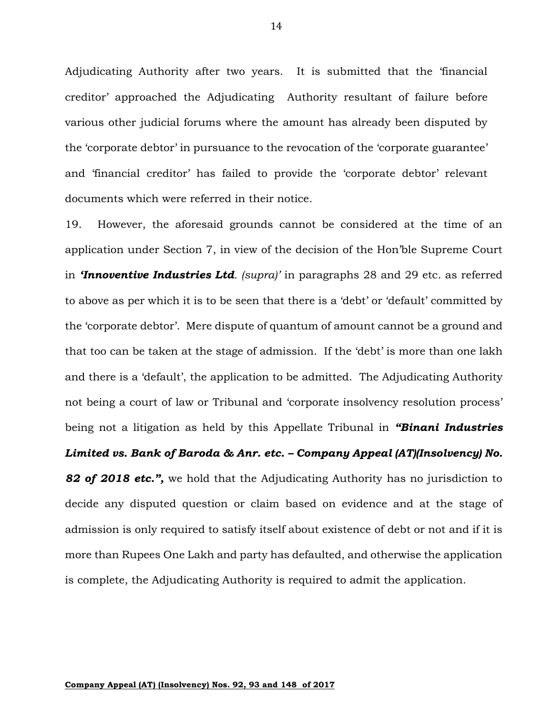Adjudicating Authority after two years. It is submitted that the 'financial creditor' approached the Adjudicating Authority resultant of failure before various other judicial forums where the amount has already been disputed by the 'corporate debtor' in pursuance to the revocation of the 'corporate guarantee' and 'financial creditor' has failed to provide the 'corporate debtor' relevant documents which were referred in their notice.

19. However, the aforesaid grounds cannot be considered at the time of an application under Section 7, in view of the decision of the Hon'ble Supreme Court in *'Innoventive Industries Ltd. (supra)'* in paragraphs 28 and 29 etc. as referred to above as per which it is to be seen that there is a 'debt' or 'default' committed by the 'corporate debtor'. Mere dispute of quantum of amount cannot be a ground and that too can be taken at the stage of admission. If the 'debt' is more than one lakh and there is a 'default', the application to be admitted. The Adjudicating Authority not being a court of law or Tribunal and 'corporate insolvency resolution process' being not a litigation as held by this Appellate Tribunal in *"Binani Industries* 

### *Limited vs. Bank of Baroda & Anr. etc. – Company Appeal (AT)(Insolvency) No.*

*82 of 2018 etc.",* we hold that the Adjudicating Authority has no jurisdiction to decide any disputed question or claim based on evidence and at the stage of admission is only required to satisfy itself about existence of debt or not and if it is more than Rupees One Lakh and party has defaulted, and otherwise the application is complete, the Adjudicating Authority is required to admit the application.

14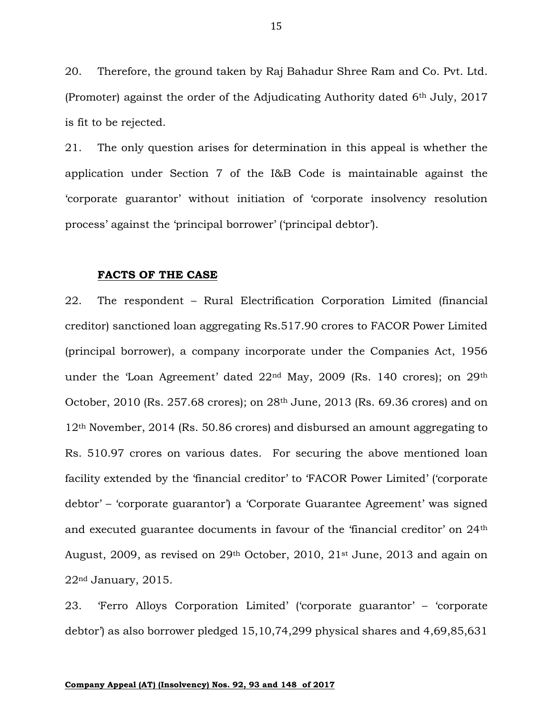20. Therefore, the ground taken by Raj Bahadur Shree Ram and Co. Pvt. Ltd. (Promoter) against the order of the Adjudicating Authority dated  $6<sup>th</sup>$  July, 2017 is fit to be rejected.

21. The only question arises for determination in this appeal is whether the application under Section 7 of the I&B Code is maintainable against the 'corporate guarantor' without initiation of 'corporate insolvency resolution process' against the 'principal borrower' ('principal debtor').

#### **FACTS OF THE CASE**

22. The respondent – Rural Electrification Corporation Limited (financial creditor) sanctioned loan aggregating Rs.517.90 crores to FACOR Power Limited (principal borrower), a company incorporate under the Companies Act, 1956 under the 'Loan Agreement' dated 22nd May, 2009 (Rs. 140 crores); on 29th October, 2010 (Rs. 257.68 crores); on 28th June, 2013 (Rs. 69.36 crores) and on 12th November, 2014 (Rs. 50.86 crores) and disbursed an amount aggregating to Rs. 510.97 crores on various dates. For securing the above mentioned loan facility extended by the 'financial creditor' to 'FACOR Power Limited' ('corporate debtor' – 'corporate guarantor') a 'Corporate Guarantee Agreement' was signed and executed guarantee documents in favour of the 'financial creditor' on 24th August, 2009, as revised on  $29<sup>th</sup>$  October, 2010,  $21<sup>st</sup>$  June, 2013 and again on 22nd January, 2015.

23. 'Ferro Alloys Corporation Limited' ('corporate guarantor' – 'corporate debtor') as also borrower pledged 15,10,74,299 physical shares and 4,69,85,631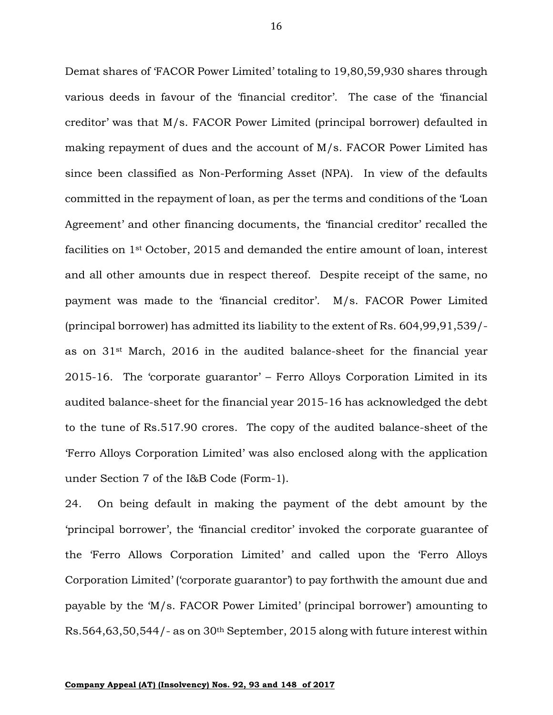Demat shares of 'FACOR Power Limited' totaling to 19,80,59,930 shares through various deeds in favour of the 'financial creditor'. The case of the 'financial creditor' was that M/s. FACOR Power Limited (principal borrower) defaulted in making repayment of dues and the account of M/s. FACOR Power Limited has since been classified as Non-Performing Asset (NPA). In view of the defaults committed in the repayment of loan, as per the terms and conditions of the 'Loan Agreement' and other financing documents, the 'financial creditor' recalled the facilities on 1st October, 2015 and demanded the entire amount of loan, interest and all other amounts due in respect thereof. Despite receipt of the same, no payment was made to the 'financial creditor'. M/s. FACOR Power Limited (principal borrower) has admitted its liability to the extent of Rs. 604,99,91,539/ as on 31st March, 2016 in the audited balance-sheet for the financial year 2015-16. The 'corporate guarantor' – Ferro Alloys Corporation Limited in its audited balance-sheet for the financial year 2015-16 has acknowledged the debt to the tune of Rs.517.90 crores. The copy of the audited balance-sheet of the 'Ferro Alloys Corporation Limited' was also enclosed along with the application under Section 7 of the I&B Code (Form-1).

24. On being default in making the payment of the debt amount by the 'principal borrower', the 'financial creditor' invoked the corporate guarantee of the 'Ferro Allows Corporation Limited' and called upon the 'Ferro Alloys Corporation Limited' ('corporate guarantor') to pay forthwith the amount due and payable by the 'M/s. FACOR Power Limited' (principal borrower') amounting to Rs.564,63,50,544/- as on 30th September, 2015 along with future interest within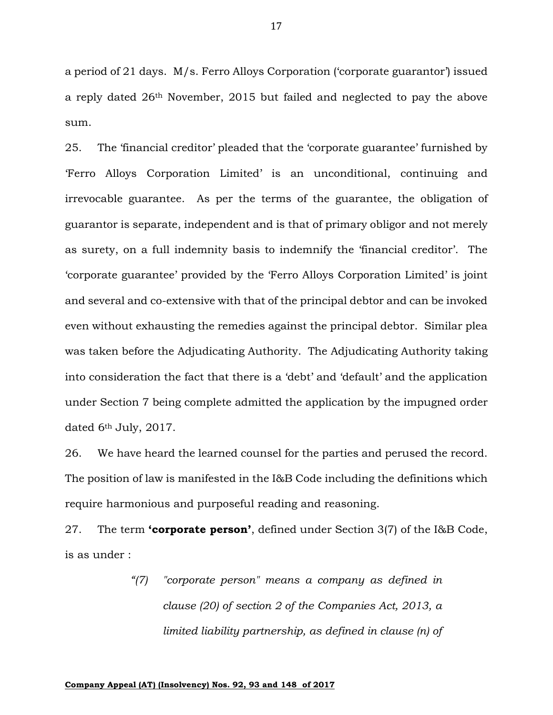a period of 21 days. M/s. Ferro Alloys Corporation ('corporate guarantor') issued a reply dated 26th November, 2015 but failed and neglected to pay the above sum.

25. The 'financial creditor' pleaded that the 'corporate guarantee' furnished by 'Ferro Alloys Corporation Limited' is an unconditional, continuing and irrevocable guarantee. As per the terms of the guarantee, the obligation of guarantor is separate, independent and is that of primary obligor and not merely as surety, on a full indemnity basis to indemnify the 'financial creditor'. The 'corporate guarantee' provided by the 'Ferro Alloys Corporation Limited' is joint and several and co-extensive with that of the principal debtor and can be invoked even without exhausting the remedies against the principal debtor. Similar plea was taken before the Adjudicating Authority. The Adjudicating Authority taking into consideration the fact that there is a 'debt' and 'default' and the application under Section 7 being complete admitted the application by the impugned order dated 6th July, 2017.

26. We have heard the learned counsel for the parties and perused the record. The position of law is manifested in the I&B Code including the definitions which require harmonious and purposeful reading and reasoning.

27. The term **'corporate person'**, defined under Section 3(7) of the I&B Code, is as under :

> *"(7) "corporate person" means a company as defined in clause (20) of section 2 of the Companies Act, 2013, a limited liability partnership, as defined in clause (n) of*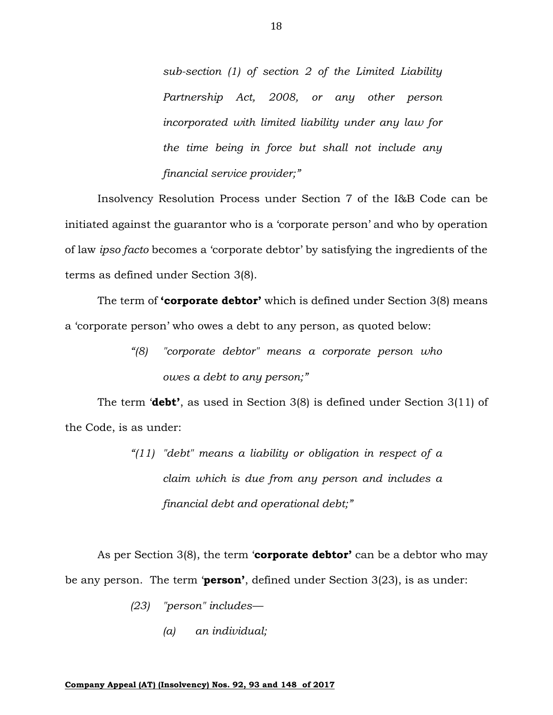*sub-section (1) of section 2 of the Limited Liability Partnership Act, 2008, or any other person incorporated with limited liability under any law for the time being in force but shall not include any financial service provider;"*

Insolvency Resolution Process under Section 7 of the I&B Code can be initiated against the guarantor who is a 'corporate person' and who by operation of law *ipso facto* becomes a 'corporate debtor' by satisfying the ingredients of the terms as defined under Section 3(8).

The term of **'corporate debtor'** which is defined under Section 3(8) means a 'corporate person' who owes a debt to any person, as quoted below:

> *"(8) "corporate debtor" means a corporate person who owes a debt to any person;"*

The term '**debt'**, as used in Section 3(8) is defined under Section 3(11) of the Code, is as under:

> *"(11) "debt" means a liability or obligation in respect of a claim which is due from any person and includes a financial debt and operational debt;"*

As per Section 3(8), the term '**corporate debtor'** can be a debtor who may be any person. The term '**person'**, defined under Section 3(23), is as under:

- *(23) "person" includes—*
	- *(a) an individual;*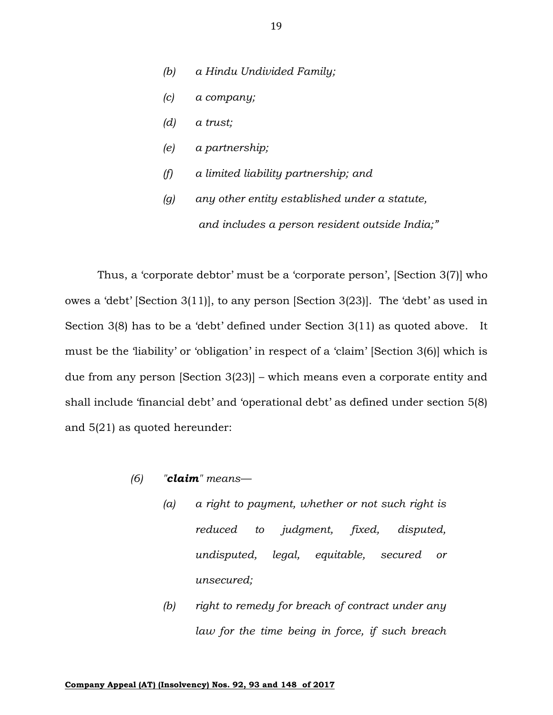- *(b) a Hindu Undivided Family;*
- *(c) a company;*
- *(d) a trust;*
- *(e) a partnership;*
- *(f) a limited liability partnership; and*
- *(g) any other entity established under a statute, and includes a person resident outside India;"*

Thus, a 'corporate debtor' must be a 'corporate person', [Section 3(7)] who owes a 'debt' [Section 3(11)], to any person [Section 3(23)]. The 'debt' as used in Section 3(8) has to be a 'debt' defined under Section 3(11) as quoted above. It must be the 'liability' or 'obligation' in respect of a 'claim' [Section 3(6)] which is due from any person [Section 3(23)] – which means even a corporate entity and shall include 'financial debt' and 'operational debt' as defined under section 5(8) and 5(21) as quoted hereunder:

- *(6) "claim" means—*
	- *(a) a right to payment, whether or not such right is reduced to judgment, fixed, disputed, undisputed, legal, equitable, secured or unsecured;*
	- *(b) right to remedy for breach of contract under any law for the time being in force, if such breach*

19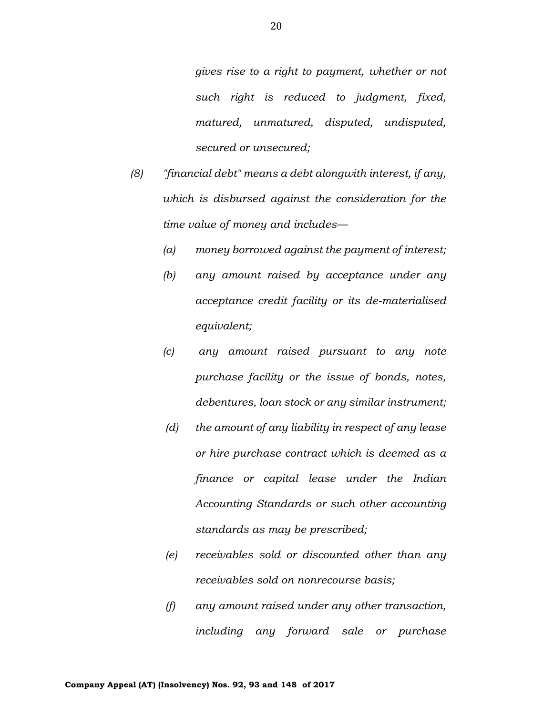*gives rise to a right to payment, whether or not such right is reduced to judgment, fixed, matured, unmatured, disputed, undisputed, secured or unsecured;*

- *(8) "financial debt" means a debt alongwith interest, if any, which is disbursed against the consideration for the time value of money and includes—*
	- *(a) money borrowed against the payment of interest;*
	- *(b) any amount raised by acceptance under any acceptance credit facility or its de-materialised equivalent;*
	- *(c) any amount raised pursuant to any note purchase facility or the issue of bonds, notes, debentures, loan stock or any similar instrument;*
	- *(d) the amount of any liability in respect of any lease or hire purchase contract which is deemed as a finance or capital lease under the Indian Accounting Standards or such other accounting standards as may be prescribed;*
	- *(e) receivables sold or discounted other than any receivables sold on nonrecourse basis;*
	- *(f) any amount raised under any other transaction, including any forward sale or purchase*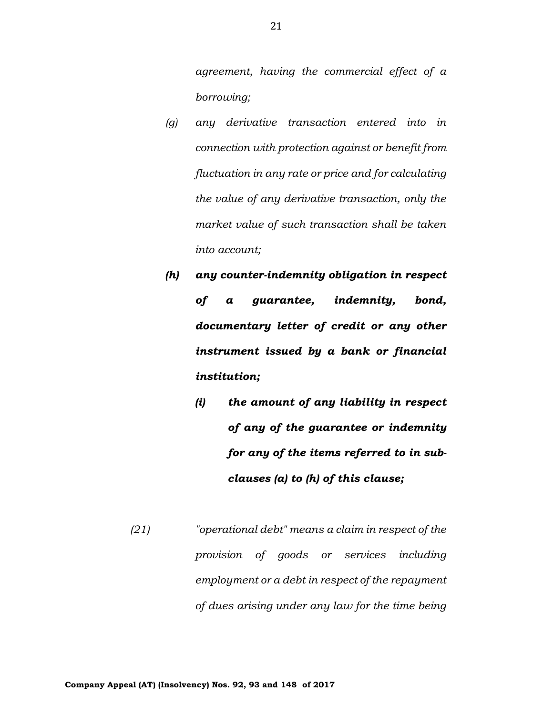*agreement, having the commercial effect of a borrowing;* 

- *(g) any derivative transaction entered into in connection with protection against or benefit from fluctuation in any rate or price and for calculating the value of any derivative transaction, only the market value of such transaction shall be taken into account;*
- *(h) any counter-indemnity obligation in respect of a guarantee, indemnity, bond, documentary letter of credit or any other instrument issued by a bank or financial institution;* 
	- *(i) the amount of any liability in respect of any of the guarantee or indemnity for any of the items referred to in subclauses (a) to (h) of this clause;*
- *(21) "operational debt" means a claim in respect of the provision of goods or services including employment or a debt in respect of the repayment of dues arising under any law for the time being*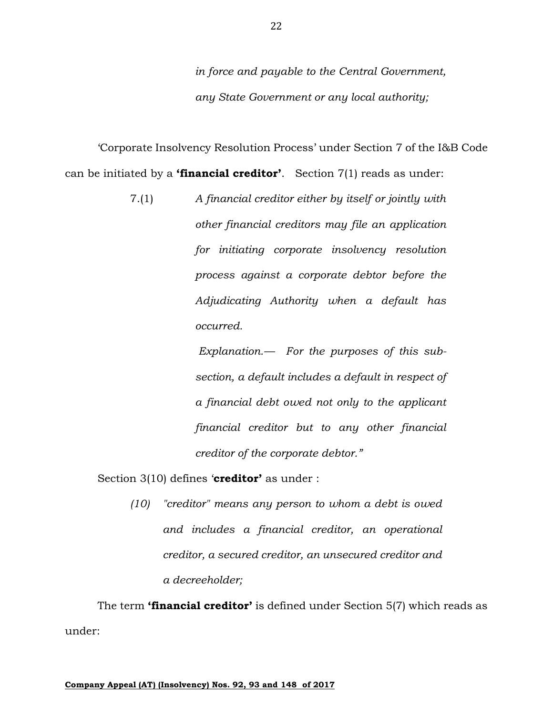*in force and payable to the Central Government, any State Government or any local authority;*

'Corporate Insolvency Resolution Process' under Section 7 of the I&B Code can be initiated by a **'financial creditor'**. Section 7(1) reads as under:

> 7.(1) *A financial creditor either by itself or jointly with other financial creditors may file an application for initiating corporate insolvency resolution process against a corporate debtor before the Adjudicating Authority when a default has occurred.*

> > *Explanation.— For the purposes of this subsection, a default includes a default in respect of a financial debt owed not only to the applicant financial creditor but to any other financial creditor of the corporate debtor."*

Section 3(10) defines '**creditor'** as under :

*(10) "creditor" means any person to whom a debt is owed and includes a financial creditor, an operational creditor, a secured creditor, an unsecured creditor and a decreeholder;*

The term **'financial creditor'** is defined under Section 5(7) which reads as under: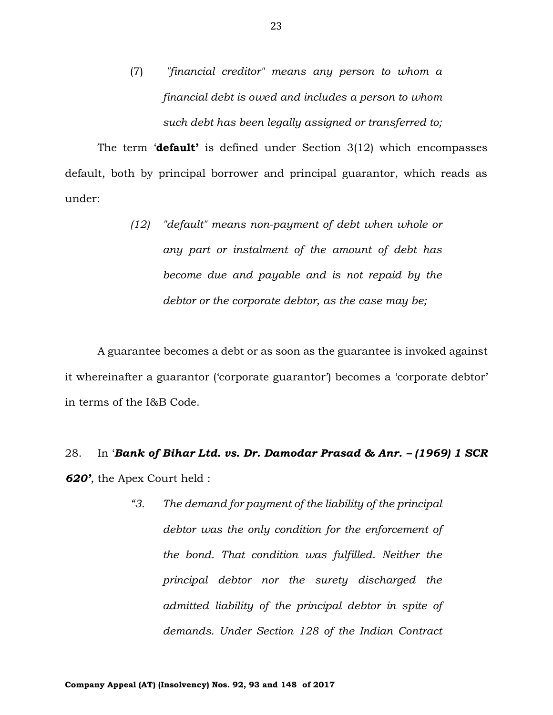(7) *"financial creditor" means any person to whom a financial debt is owed and includes a person to whom such debt has been legally assigned or transferred to;*

The term '**default'** is defined under Section 3(12) which encompasses default, both by principal borrower and principal guarantor, which reads as under:

> *(12) "default" means non-payment of debt when whole or any part or instalment of the amount of debt has become due and payable and is not repaid by the debtor or the corporate debtor, as the case may be;*

A guarantee becomes a debt or as soon as the guarantee is invoked against it whereinafter a guarantor ('corporate guarantor') becomes a 'corporate debtor' in terms of the I&B Code.

# 28. In '*Bank of Bihar Ltd. vs. Dr. Damodar Prasad & Anr. – (1969) 1 SCR 620'*, the Apex Court held :

*"3. The demand for payment of the liability of the principal debtor was the only condition for the enforcement of the bond. That condition was fulfilled. Neither the principal debtor nor the surety discharged the admitted liability of the principal debtor in spite of demands. Under Section 128 of the Indian Contract*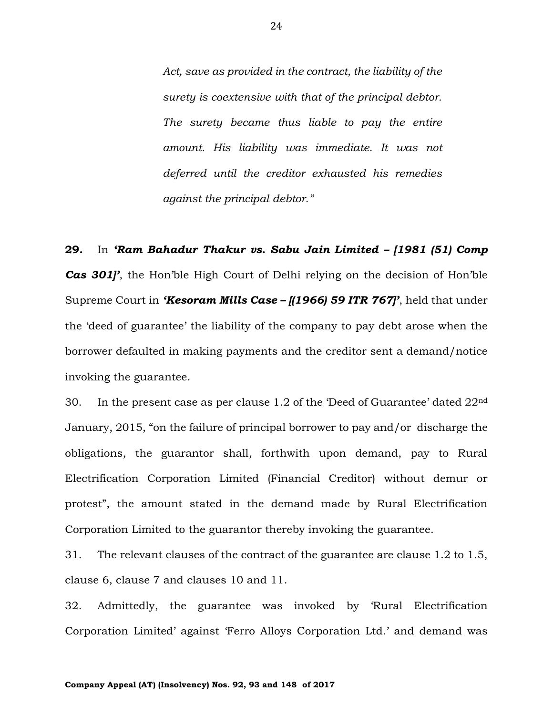*Act, save as provided in the contract, the liability of the surety is coextensive with that of the principal debtor. The surety became thus liable to pay the entire amount. His liability was immediate. It was not deferred until the creditor exhausted his remedies against the principal debtor."*

**29.** In *'Ram Bahadur Thakur vs. Sabu Jain Limited – [1981 (51) Comp Cas 301]'*, the Hon'ble High Court of Delhi relying on the decision of Hon'ble Supreme Court in *'Kesoram Mills Case – [(1966) 59 ITR 767]'*, held that under the 'deed of guarantee' the liability of the company to pay debt arose when the borrower defaulted in making payments and the creditor sent a demand/notice invoking the guarantee.

30. In the present case as per clause 1.2 of the 'Deed of Guarantee' dated 22nd January, 2015, "on the failure of principal borrower to pay and/or discharge the obligations, the guarantor shall, forthwith upon demand, pay to Rural Electrification Corporation Limited (Financial Creditor) without demur or protest", the amount stated in the demand made by Rural Electrification Corporation Limited to the guarantor thereby invoking the guarantee.

31. The relevant clauses of the contract of the guarantee are clause 1.2 to 1.5, clause 6, clause 7 and clauses 10 and 11.

32. Admittedly, the guarantee was invoked by 'Rural Electrification Corporation Limited' against 'Ferro Alloys Corporation Ltd.' and demand was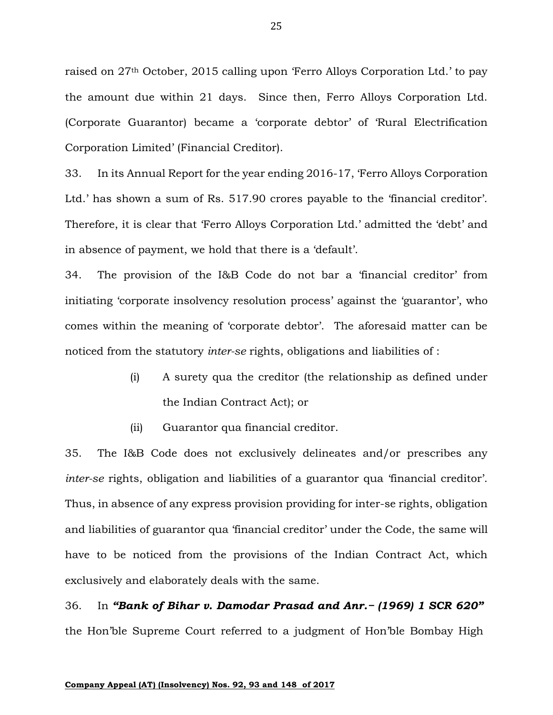raised on 27th October, 2015 calling upon 'Ferro Alloys Corporation Ltd.' to pay the amount due within 21 days. Since then, Ferro Alloys Corporation Ltd. (Corporate Guarantor) became a 'corporate debtor' of 'Rural Electrification Corporation Limited' (Financial Creditor).

33. In its Annual Report for the year ending 2016-17, 'Ferro Alloys Corporation Ltd.' has shown a sum of Rs. 517.90 crores payable to the 'financial creditor'. Therefore, it is clear that 'Ferro Alloys Corporation Ltd.' admitted the 'debt' and in absence of payment, we hold that there is a 'default'.

34. The provision of the I&B Code do not bar a 'financial creditor' from initiating 'corporate insolvency resolution process' against the 'guarantor', who comes within the meaning of 'corporate debtor'. The aforesaid matter can be noticed from the statutory *inter-se* rights, obligations and liabilities of :

- (i) A surety qua the creditor (the relationship as defined under the Indian Contract Act); or
- (ii) Guarantor qua financial creditor.

35. The I&B Code does not exclusively delineates and/or prescribes any *inter-se* rights, obligation and liabilities of a guarantor qua 'financial creditor'. Thus, in absence of any express provision providing for inter-se rights, obligation and liabilities of guarantor qua 'financial creditor' under the Code, the same will have to be noticed from the provisions of the Indian Contract Act, which exclusively and elaborately deals with the same.

36. In *"Bank of Bihar v. Damodar Prasad and Anr.− (1969) 1 SCR 620"*  the Hon'ble Supreme Court referred to a judgment of Hon'ble Bombay High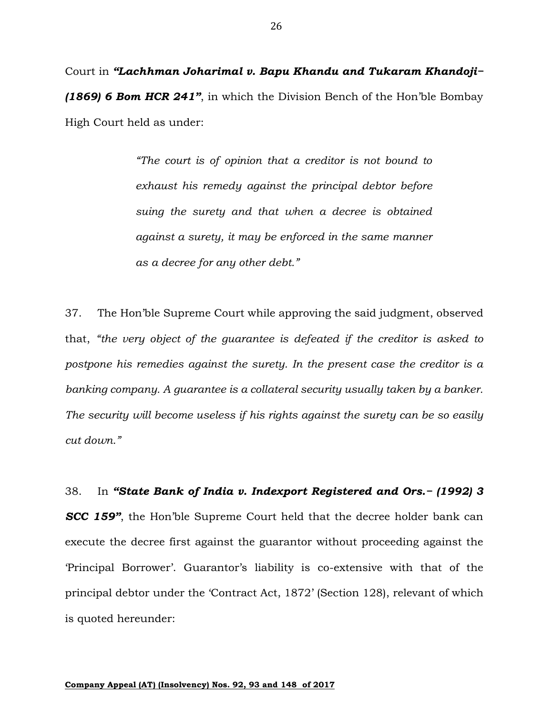Court in *"Lachhman Joharimal v. Bapu Khandu and Tukaram Khandoji− (1869) 6 Bom HCR 241"*, in which the Division Bench of the Hon'ble Bombay High Court held as under:

> *"The court is of opinion that a creditor is not bound to exhaust his remedy against the principal debtor before suing the surety and that when a decree is obtained against a surety, it may be enforced in the same manner as a decree for any other debt."*

37. The Hon'ble Supreme Court while approving the said judgment, observed that, *"the very object of the guarantee is defeated if the creditor is asked to postpone his remedies against the surety. In the present case the creditor is a banking company. A guarantee is a collateral security usually taken by a banker. The security will become useless if his rights against the surety can be so easily cut down."*

38. In *"State Bank of India v. Indexport Registered and Ors.− (1992) 3 SCC 159"*, the Hon'ble Supreme Court held that the decree holder bank can execute the decree first against the guarantor without proceeding against the 'Principal Borrower'. Guarantor's liability is co-extensive with that of the principal debtor under the 'Contract Act, 1872' (Section 128), relevant of which is quoted hereunder: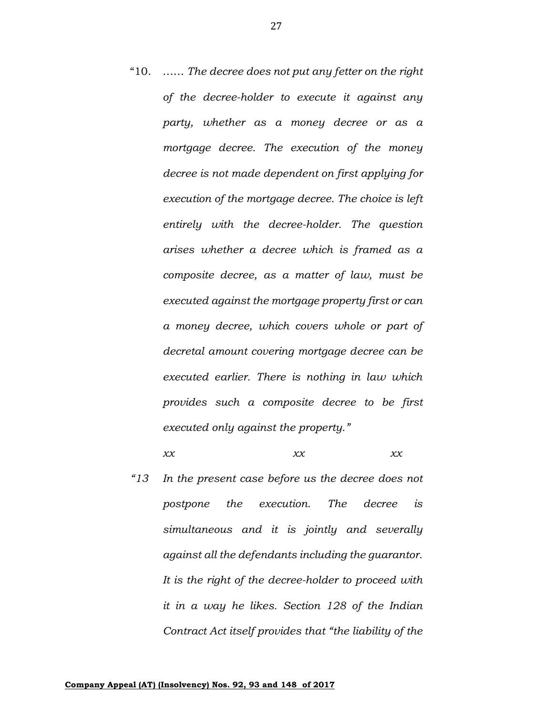"10. …… *The decree does not put any fetter on the right of the decree-holder to execute it against any party, whether as a money decree or as a mortgage decree. The execution of the money decree is not made dependent on first applying for execution of the mortgage decree. The choice is left entirely with the decree-holder. The question arises whether a decree which is framed as a composite decree, as a matter of law, must be executed against the mortgage property first or can a money decree, which covers whole or part of decretal amount covering mortgage decree can be executed earlier. There is nothing in law which provides such a composite decree to be first executed only against the property."*

#### *xx xx xx*

*"13 In the present case before us the decree does not postpone the execution. The decree is simultaneous and it is jointly and severally against all the defendants including the guarantor. It is the right of the decree-holder to proceed with it in a way he likes. Section 128 of the Indian Contract Act itself provides that "the liability of the*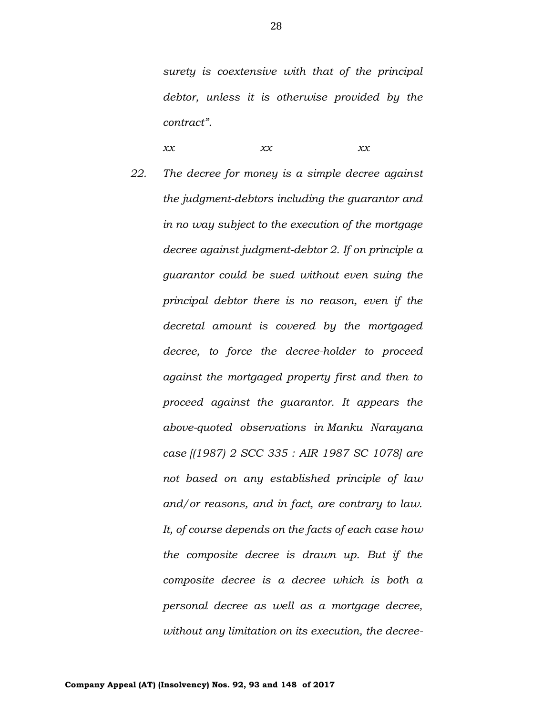*surety is coextensive with that of the principal debtor, unless it is otherwise provided by the contract".*

*xx xx xx*

*22. The decree for money is a simple decree against the judgment-debtors including the guarantor and in no way subject to the execution of the mortgage decree against judgment-debtor 2. If on principle a guarantor could be sued without even suing the principal debtor there is no reason, even if the decretal amount is covered by the mortgaged decree, to force the decree-holder to proceed against the mortgaged property first and then to proceed against the guarantor. It appears the above-quoted observations in Manku Narayana case [(1987) 2 SCC 335 : AIR 1987 SC 1078] are not based on any established principle of law and/or reasons, and in fact, are contrary to law. It, of course depends on the facts of each case how the composite decree is drawn up. But if the composite decree is a decree which is both a personal decree as well as a mortgage decree, without any limitation on its execution, the decree-*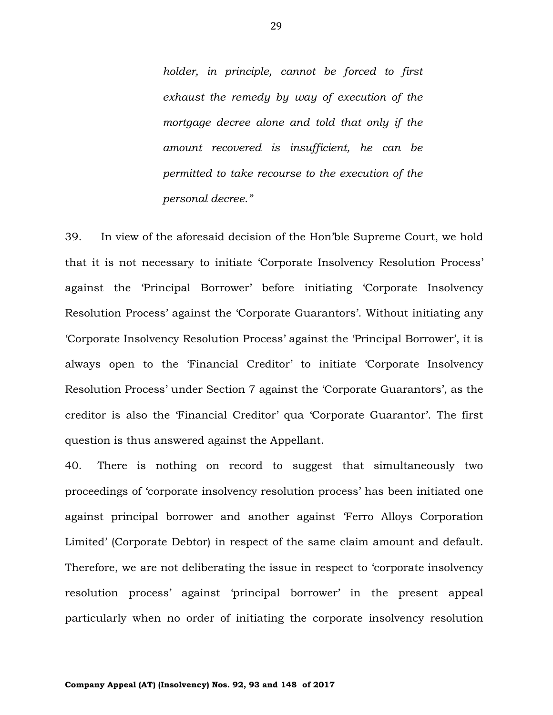*holder, in principle, cannot be forced to first exhaust the remedy by way of execution of the mortgage decree alone and told that only if the amount recovered is insufficient, he can be permitted to take recourse to the execution of the personal decree."* 

39. In view of the aforesaid decision of the Hon'ble Supreme Court, we hold that it is not necessary to initiate 'Corporate Insolvency Resolution Process' against the 'Principal Borrower' before initiating 'Corporate Insolvency Resolution Process' against the 'Corporate Guarantors'. Without initiating any 'Corporate Insolvency Resolution Process' against the 'Principal Borrower', it is always open to the 'Financial Creditor' to initiate 'Corporate Insolvency Resolution Process' under Section 7 against the 'Corporate Guarantors', as the creditor is also the 'Financial Creditor' qua 'Corporate Guarantor'. The first question is thus answered against the Appellant.

40. There is nothing on record to suggest that simultaneously two proceedings of 'corporate insolvency resolution process' has been initiated one against principal borrower and another against 'Ferro Alloys Corporation Limited' (Corporate Debtor) in respect of the same claim amount and default. Therefore, we are not deliberating the issue in respect to 'corporate insolvency resolution process' against 'principal borrower' in the present appeal particularly when no order of initiating the corporate insolvency resolution